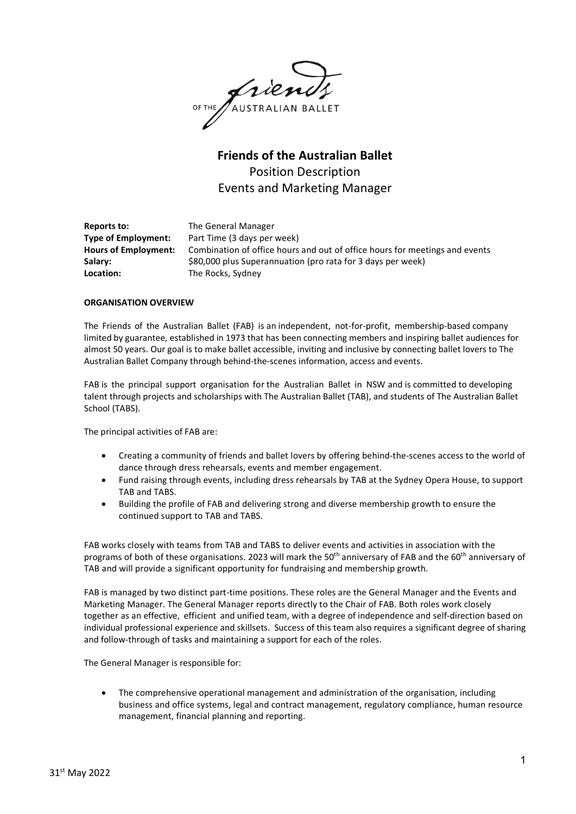OF THE JAUSTRALIAN BALLET

# **Friends of the Australian Ballet** Position Description Events and Marketing Manager

| Reports to:                 | The General Manager                                                         |
|-----------------------------|-----------------------------------------------------------------------------|
| <b>Type of Employment:</b>  | Part Time (3 days per week)                                                 |
| <b>Hours of Employment:</b> | Combination of office hours and out of office hours for meetings and events |
| Salary:                     | \$80,000 plus Superannuation (pro rata for 3 days per week)                 |
| Location:                   | The Rocks, Sydney                                                           |

#### **ORGANISATION OVERVIEW**

The Friends of the Australian Ballet (FAB) is an independent, not-for-profit, membership-based company limited by guarantee, established in 1973 that has been connecting members and inspiring ballet audiences for almost 50 years. Our goal is to make ballet accessible, inviting and inclusive by connecting ballet lovers to The Australian Ballet Company through behind-the-scenes information, access and events.

FAB is the principal support organisation for the Australian Ballet in NSW and is committed to developing talent through projects and scholarships with The Australian Ballet (TAB), and students of The Australian Ballet School (TABS).

The principal activities of FAB are:

- Creating a community of friends and ballet lovers by offering behind-the-scenes access to the world of dance through dress rehearsals, events and member engagement.
- Fund raising through events, including dress rehearsals by TAB at the Sydney Opera House, to support TAB and TABS.
- Building the profile of FAB and delivering strong and diverse membership growth to ensure the continued support to TAB and TABS.

FAB works closely with teams from TAB and TABS to deliver events and activities in association with the programs of both of these organisations. 2023 will mark the 50<sup>th</sup> anniversary of FAB and the 60<sup>th</sup> anniversary of TAB and will provide a significant opportunity for fundraising and membership growth.

FAB is managed by two distinct part-time positions. These roles are the General Manager and the Events and Marketing Manager. The General Manager reports directly to the Chair of FAB. Both roles work closely together as an effective, efficient and unified team, with a degree of independence and self-direction based on individual professional experience and skillsets. Success of this team also requires a significant degree of sharing and follow-through of tasks and maintaining a support for each of the roles.

The General Manager is responsible for:

• The comprehensive operational management and administration of the organisation, including business and office systems, legal and contract management, regulatory compliance, human resource management, financial planning and reporting.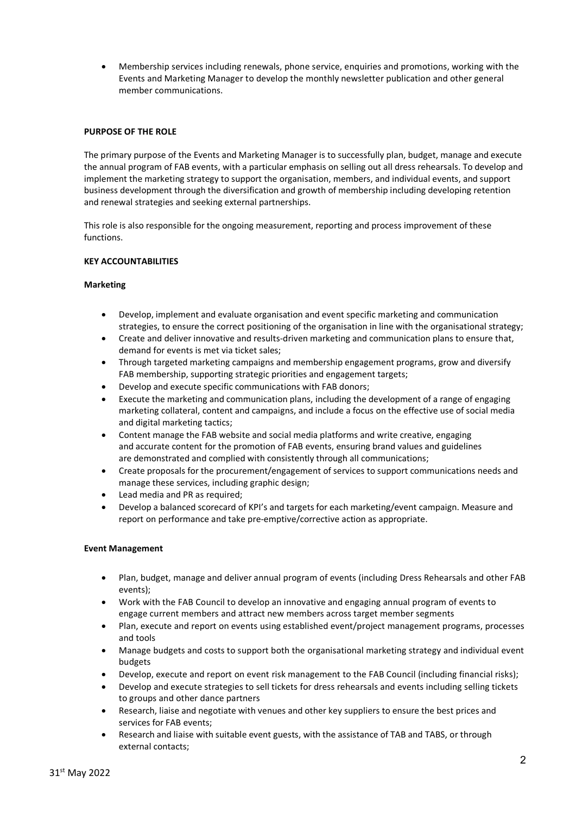• Membership services including renewals, phone service, enquiries and promotions, working with the Events and Marketing Manager to develop the monthly newsletter publication and other general member communications.

### **PURPOSE OF THE ROLE**

The primary purpose of the Events and Marketing Manager is to successfully plan, budget, manage and execute the annual program of FAB events, with a particular emphasis on selling out all dress rehearsals. To develop and implement the marketing strategy to support the organisation, members, and individual events, and support business development through the diversification and growth of membership including developing retention and renewal strategies and seeking external partnerships.

This role is also responsible for the ongoing measurement, reporting and process improvement of these functions.

#### **KEY ACCOUNTABILITIES**

#### **Marketing**

- Develop, implement and evaluate organisation and event specific marketing and communication strategies, to ensure the correct positioning of the organisation in line with the organisational strategy;
- Create and deliver innovative and results-driven marketing and communication plans to ensure that, demand for events is met via ticket sales;
- Through targeted marketing campaigns and membership engagement programs, grow and diversify FAB membership, supporting strategic priorities and engagement targets;
- Develop and execute specific communications with FAB donors;
- Execute the marketing and communication plans, including the development of a range of engaging marketing collateral, content and campaigns, and include a focus on the effective use of social media and digital marketing tactics;
- Content manage the FAB website and social media platforms and write creative, engaging and accurate content for the promotion of FAB events, ensuring brand values and guidelines are demonstrated and complied with consistently through all communications;
- Create proposals for the procurement/engagement of services to support communications needs and manage these services, including graphic design;
- Lead media and PR as required;
- Develop a balanced scorecard of KPI's and targets for each marketing/event campaign. Measure and report on performance and take pre-emptive/corrective action as appropriate.

### **Event Management**

- Plan, budget, manage and deliver annual program of events (including Dress Rehearsals and other FAB events);
- Work with the FAB Council to develop an innovative and engaging annual program of events to engage current members and attract new members across target member segments
- Plan, execute and report on events using established event/project management programs, processes and tools
- Manage budgets and costs to support both the organisational marketing strategy and individual event budgets
- Develop, execute and report on event risk management to the FAB Council (including financial risks);
- Develop and execute strategies to sell tickets for dress rehearsals and events including selling tickets to groups and other dance partners
- Research, liaise and negotiate with venues and other key suppliers to ensure the best prices and services for FAB events;
- Research and liaise with suitable event guests, with the assistance of TAB and TABS, or through external contacts;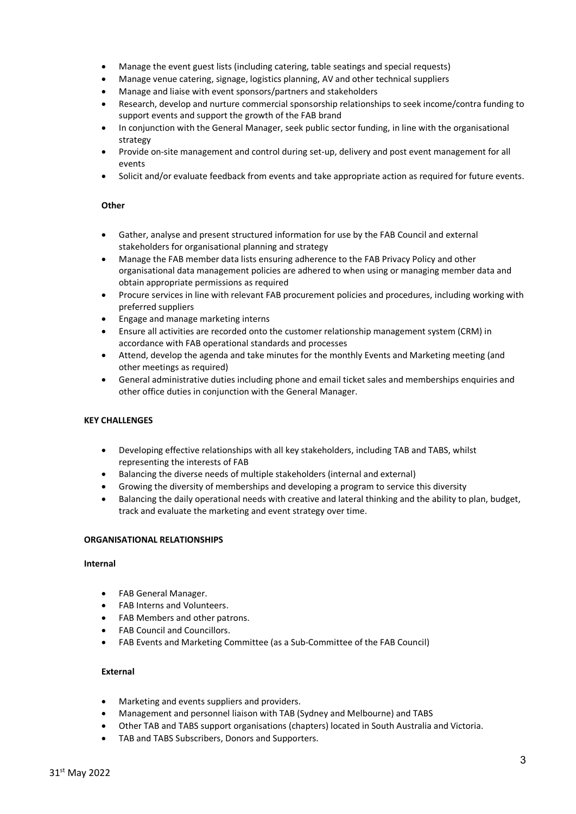- Manage the event guest lists (including catering, table seatings and special requests)
- Manage venue catering, signage, logistics planning, AV and other technical suppliers
- Manage and liaise with event sponsors/partners and stakeholders
- Research, develop and nurture commercial sponsorship relationships to seek income/contra funding to support events and support the growth of the FAB brand
- In conjunction with the General Manager, seek public sector funding, in line with the organisational strategy
- Provide on-site management and control during set-up, delivery and post event management for all events
- Solicit and/or evaluate feedback from events and take appropriate action as required for future events.

## **Other**

- Gather, analyse and present structured information for use by the FAB Council and external stakeholders for organisational planning and strategy
- Manage the FAB member data lists ensuring adherence to the FAB Privacy Policy and other organisational data management policies are adhered to when using or managing member data and obtain appropriate permissions as required
- Procure services in line with relevant FAB procurement policies and procedures, including working with preferred suppliers
- Engage and manage marketing interns
- Ensure all activities are recorded onto the customer relationship management system (CRM) in accordance with FAB operational standards and processes
- Attend, develop the agenda and take minutes for the monthly Events and Marketing meeting (and other meetings as required)
- General administrative duties including phone and email ticket sales and memberships enquiries and other office duties in conjunction with the General Manager.

### **KEY CHALLENGES**

- Developing effective relationships with all key stakeholders, including TAB and TABS, whilst representing the interests of FAB
- Balancing the diverse needs of multiple stakeholders (internal and external)
- Growing the diversity of memberships and developing a program to service this diversity
- Balancing the daily operational needs with creative and lateral thinking and the ability to plan, budget, track and evaluate the marketing and event strategy over time.

### **ORGANISATIONAL RELATIONSHIPS**

### **Internal**

- FAB General Manager.
- FAB Interns and Volunteers.
- FAB Members and other patrons.
- FAB Council and Councillors.
- FAB Events and Marketing Committee (as a Sub-Committee of the FAB Council)

## **External**

- Marketing and events suppliers and providers.
- Management and personnel liaison with TAB (Sydney and Melbourne) and TABS
- Other TAB and TABS support organisations (chapters) located in South Australia and Victoria.
- TAB and TABS Subscribers, Donors and Supporters.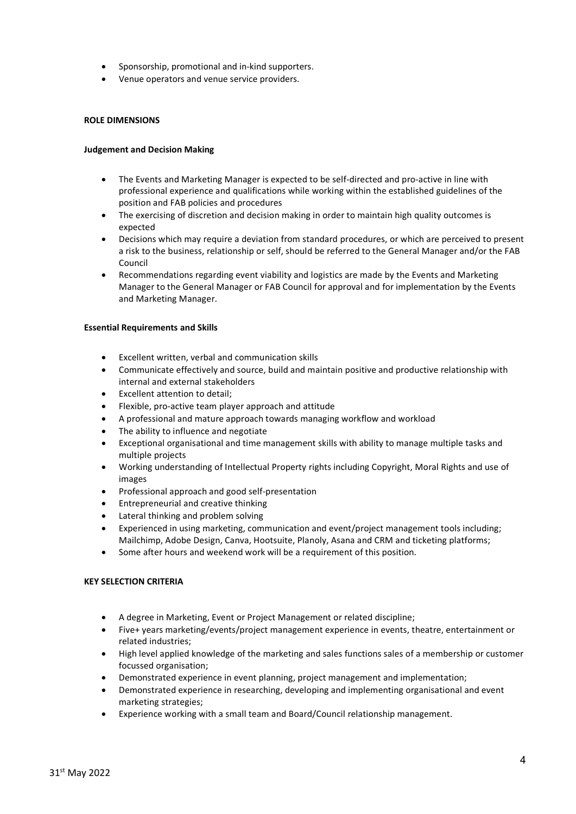- Sponsorship, promotional and in-kind supporters.
- Venue operators and venue service providers.

### **ROLE DIMENSIONS**

### **Judgement and Decision Making**

- The Events and Marketing Manager is expected to be self-directed and pro-active in line with professional experience and qualifications while working within the established guidelines of the position and FAB policies and procedures
- The exercising of discretion and decision making in order to maintain high quality outcomes is expected
- Decisions which may require a deviation from standard procedures, or which are perceived to present a risk to the business, relationship or self, should be referred to the General Manager and/or the FAB Council
- Recommendations regarding event viability and logistics are made by the Events and Marketing Manager to the General Manager or FAB Council for approval and for implementation by the Events and Marketing Manager.

### **Essential Requirements and Skills**

- Excellent written, verbal and communication skills
- Communicate effectively and source, build and maintain positive and productive relationship with internal and external stakeholders
- Excellent attention to detail;
- Flexible, pro-active team player approach and attitude
- A professional and mature approach towards managing workflow and workload
- The ability to influence and negotiate
- Exceptional organisational and time management skills with ability to manage multiple tasks and multiple projects
- Working understanding of Intellectual Property rights including Copyright, Moral Rights and use of images
- Professional approach and good self-presentation
- Entrepreneurial and creative thinking
- Lateral thinking and problem solving
- Experienced in using marketing, communication and event/project management tools including; Mailchimp, Adobe Design, Canva, Hootsuite, Planoly, Asana and CRM and ticketing platforms;
- Some after hours and weekend work will be a requirement of this position.

### **KEY SELECTION CRITERIA**

- A degree in Marketing, Event or Project Management or related discipline;
- Five+ years marketing/events/project management experience in events, theatre, entertainment or related industries;
- High level applied knowledge of the marketing and sales functions sales of a membership or customer focussed organisation;
- Demonstrated experience in event planning, project management and implementation;
- Demonstrated experience in researching, developing and implementing organisational and event marketing strategies;
- Experience working with a small team and Board/Council relationship management.